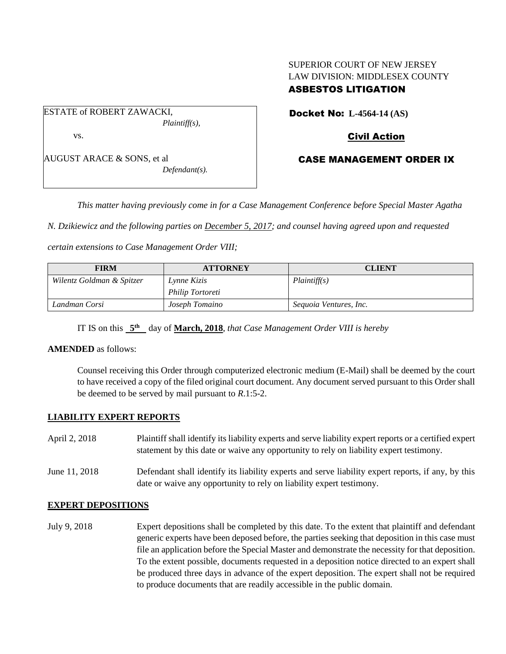### SUPERIOR COURT OF NEW JERSEY LAW DIVISION: MIDDLESEX COUNTY ASBESTOS LITIGATION

ESTATE of ROBERT ZAWACKI, *Plaintiff(s),* vs.

AUGUST ARACE & SONS, et al *Defendant(s).* Docket No: **L-4564-14 (AS)** 

Civil Action

# CASE MANAGEMENT ORDER IX

*This matter having previously come in for a Case Management Conference before Special Master Agatha* 

*N. Dzikiewicz and the following parties on December 5, 2017; and counsel having agreed upon and requested* 

*certain extensions to Case Management Order VIII;*

| <b>FIRM</b>               | <b>ATTORNEY</b>         | <b>CLIENT</b>          |
|---------------------------|-------------------------|------------------------|
| Wilentz Goldman & Spitzer | Lynne Kizis             | Plaintiff(s)           |
|                           | <i>Philip Tortoreti</i> |                        |
| Landman Corsi             | Joseph Tomaino          | Sequoia Ventures, Inc. |

IT IS on this **5 th** day of **March, 2018**, *that Case Management Order VIII is hereby*

#### **AMENDED** as follows:

Counsel receiving this Order through computerized electronic medium (E-Mail) shall be deemed by the court to have received a copy of the filed original court document. Any document served pursuant to this Order shall be deemed to be served by mail pursuant to *R*.1:5-2.

#### **LIABILITY EXPERT REPORTS**

| April 2, 2018 | Plaintiff shall identify its liability experts and serve liability expert reports or a certified expert<br>statement by this date or waive any opportunity to rely on liability expert testimony. |
|---------------|---------------------------------------------------------------------------------------------------------------------------------------------------------------------------------------------------|
| June 11, 2018 | Defendant shall identify its liability experts and serve liability expert reports, if any, by this<br>date or waive any opportunity to rely on liability expert testimony.                        |

#### **EXPERT DEPOSITIONS**

July 9, 2018 Expert depositions shall be completed by this date. To the extent that plaintiff and defendant generic experts have been deposed before, the parties seeking that deposition in this case must file an application before the Special Master and demonstrate the necessity for that deposition. To the extent possible, documents requested in a deposition notice directed to an expert shall be produced three days in advance of the expert deposition. The expert shall not be required to produce documents that are readily accessible in the public domain.